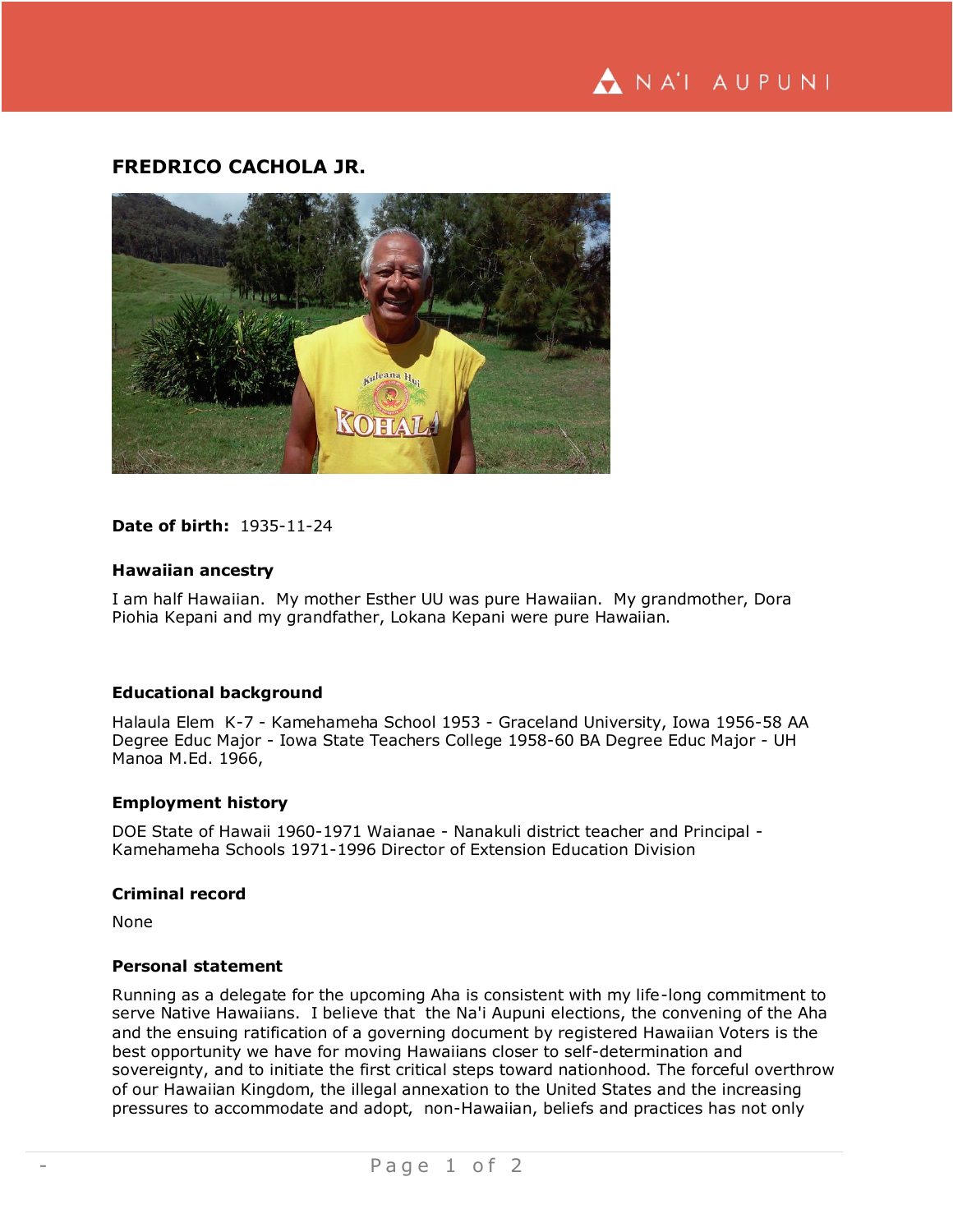# **FREDRICO CACHOLA JR.**



# **Date of birth:** 1935-11-24

## **Hawaiian ancestry**

I am half Hawaiian. My mother Esther UU was pure Hawaiian. My grandmother, Dora Piohia Kepani and my grandfather, Lokana Kepani were pure Hawaiian.

# **Educational background**

Halaula Elem K-7 - Kamehameha School 1953 - Graceland University, Iowa 1956-58 AA Degree Educ Major - Iowa State Teachers College 1958-60 BA Degree Educ Major - UH Manoa M.Ed. 1966,

#### **Employment history**

DOE State of Hawaii 1960-1971 Waianae - Nanakuli district teacher and Principal - Kamehameha Schools 1971-1996 Director of Extension Education Division

#### **Criminal record**

None

## **Personal statement**

Running as a delegate for the upcoming Aha is consistent with my life-long commitment to serve Native Hawaiians. I believe that the Na'i Aupuni elections, the convening of the Aha and the ensuing ratification of a governing document by registered Hawaiian Voters is the best opportunity we have for moving Hawaiians closer to self-determination and sovereignty, and to initiate the first critical steps toward nationhood. The forceful overthrow of our Hawaiian Kingdom, the illegal annexation to the United States and the increasing pressures to accommodate and adopt, non-Hawaiian, beliefs and practices has not only